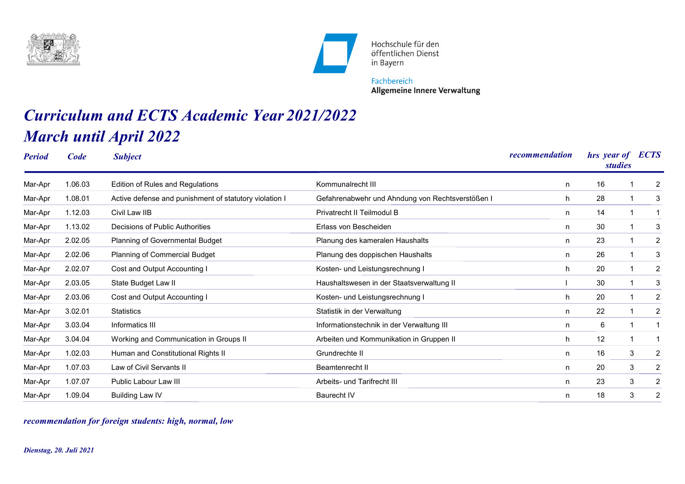



Hochschule für den öffentlichen Dienst in Bayern

Fachbereich **Allgemeine Innere Verwaltung** 

## *Curriculum and ECTS Academic Year 2021/2022 March until April 2022*

| <b>Period</b> | Code    | <b>Subject</b>                                         |                                                  | recommendation | hrs year of<br><i>studies</i> | <b>ECTS</b>         |
|---------------|---------|--------------------------------------------------------|--------------------------------------------------|----------------|-------------------------------|---------------------|
| Mar-Apr       | 1.06.03 | <b>Edition of Rules and Regulations</b>                | Kommunalrecht III                                | n              | 16                            | 2                   |
| Mar-Apr       | 1.08.01 | Active defense and punishment of statutory violation I | Gefahrenabwehr und Ahndung von Rechtsverstößen I | h.             | 28                            | 3                   |
| Mar-Apr       | 1.12.03 | Civil Law IIB                                          | Privatrecht II Teilmodul B                       | n              | 14                            | 1                   |
| Mar-Apr       | 1.13.02 | Decisions of Public Authorities                        | Erlass von Bescheiden                            | n              | 30                            | 3                   |
| Mar-Apr       | 2.02.05 | <b>Planning of Governmental Budget</b>                 | Planung des kameralen Haushalts                  | n              | 23                            | $\overline{c}$      |
| Mar-Apr       | 2.02.06 | Planning of Commercial Budget                          | Planung des doppischen Haushalts                 | n              | 26                            | 3                   |
| Mar-Apr       | 2.02.07 | Cost and Output Accounting I                           | Kosten- und Leistungsrechnung I                  | h              | 20                            | 2                   |
| Mar-Apr       | 2.03.05 | State Budget Law II                                    | Haushaltswesen in der Staatsverwaltung II        |                | 30                            | 3                   |
| Mar-Apr       | 2.03.06 | Cost and Output Accounting I                           | Kosten- und Leistungsrechnung I                  | h              | 20                            | 2                   |
| Mar-Apr       | 3.02.01 | <b>Statistics</b>                                      | Statistik in der Verwaltung                      | n              | 22                            | 2                   |
| Mar-Apr       | 3.03.04 | Informatics III                                        | Informationstechnik in der Verwaltung III        | n              | 6                             |                     |
| Mar-Apr       | 3.04.04 | Working and Communication in Groups II                 | Arbeiten und Kommunikation in Gruppen II         | h              | 12                            |                     |
| Mar-Apr       | 1.02.03 | Human and Constitutional Rights II                     | Grundrechte II                                   | n              | 16                            | 3<br>2              |
| Mar-Apr       | 1.07.03 | Law of Civil Servants II                               | <b>Beamtenrecht II</b>                           | n              | 20                            | 3<br>2              |
| Mar-Apr       | 1.07.07 | Public Labour Law III                                  | Arbeits- und Tarifrecht III                      | n              | 23                            | $\overline{c}$<br>3 |
| Mar-Apr       | 1.09.04 | Building Law IV                                        | <b>Baurecht IV</b>                               | n              | 18                            | 3<br>2              |

*recommendation for foreign students: high, normal, low*